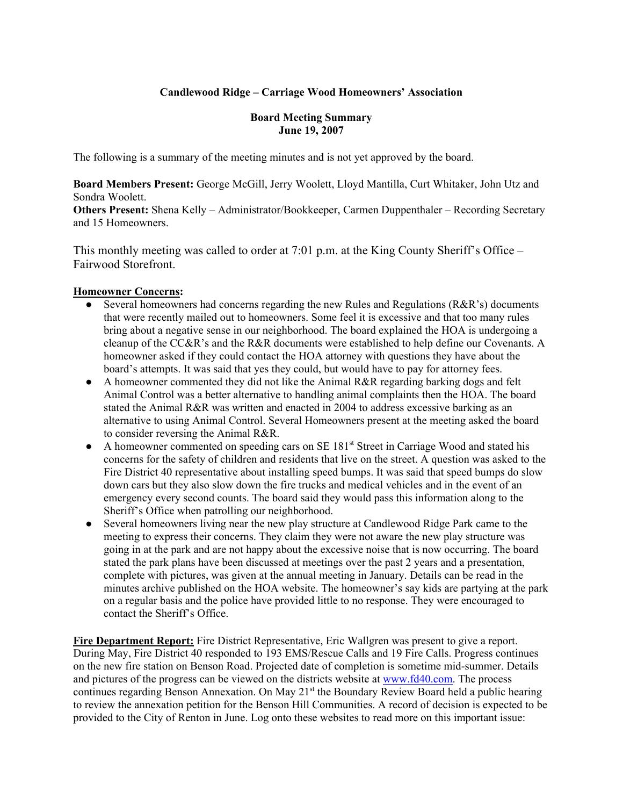### **Candlewood Ridge – Carriage Wood Homeowners' Association**

#### **Board Meeting Summary June 19, 2007**

The following is a summary of the meeting minutes and is not yet approved by the board.

**Board Members Present:** George McGill, Jerry Woolett, Lloyd Mantilla, Curt Whitaker, John Utz and Sondra Woolett.

**Others Present:** Shena Kelly – Administrator/Bookkeeper, Carmen Duppenthaler – Recording Secretary and 15 Homeowners.

This monthly meeting was called to order at 7:01 p.m. at the King County Sheriff's Office – Fairwood Storefront.

#### **Homeowner Concerns:**

- Several homeowners had concerns regarding the new Rules and Regulations (R&R's) documents that were recently mailed out to homeowners. Some feel it is excessive and that too many rules bring about a negative sense in our neighborhood. The board explained the HOA is undergoing a cleanup of the CC&R's and the R&R documents were established to help define our Covenants. A homeowner asked if they could contact the HOA attorney with questions they have about the board's attempts. It was said that yes they could, but would have to pay for attorney fees.
- A homeowner commented they did not like the Animal R&R regarding barking dogs and felt Animal Control was a better alternative to handling animal complaints then the HOA. The board stated the Animal R&R was written and enacted in 2004 to address excessive barking as an alternative to using Animal Control. Several Homeowners present at the meeting asked the board to consider reversing the Animal R&R.
- A homeowner commented on speeding cars on SE 181<sup>st</sup> Street in Carriage Wood and stated his concerns for the safety of children and residents that live on the street. A question was asked to the Fire District 40 representative about installing speed bumps. It was said that speed bumps do slow down cars but they also slow down the fire trucks and medical vehicles and in the event of an emergency every second counts. The board said they would pass this information along to the Sheriff's Office when patrolling our neighborhood.
- Several homeowners living near the new play structure at Candlewood Ridge Park came to the meeting to express their concerns. They claim they were not aware the new play structure was going in at the park and are not happy about the excessive noise that is now occurring. The board stated the park plans have been discussed at meetings over the past 2 years and a presentation, complete with pictures, was given at the annual meeting in January. Details can be read in the minutes archive published on the HOA website. The homeowner's say kids are partying at the park on a regular basis and the police have provided little to no response. They were encouraged to contact the Sheriff's Office.

**Fire Department Report:** Fire District Representative, Eric Wallgren was present to give a report. During May, Fire District 40 responded to 193 EMS/Rescue Calls and 19 Fire Calls. Progress continues on the new fire station on Benson Road. Projected date of completion is sometime mid-summer. Details and pictures of the progress can be viewed on the districts website at www.fd40.com. The process continues regarding Benson Annexation. On May 21<sup>st</sup> the Boundary Review Board held a public hearing to review the annexation petition for the Benson Hill Communities. A record of decision is expected to be provided to the City of Renton in June. Log onto these websites to read more on this important issue: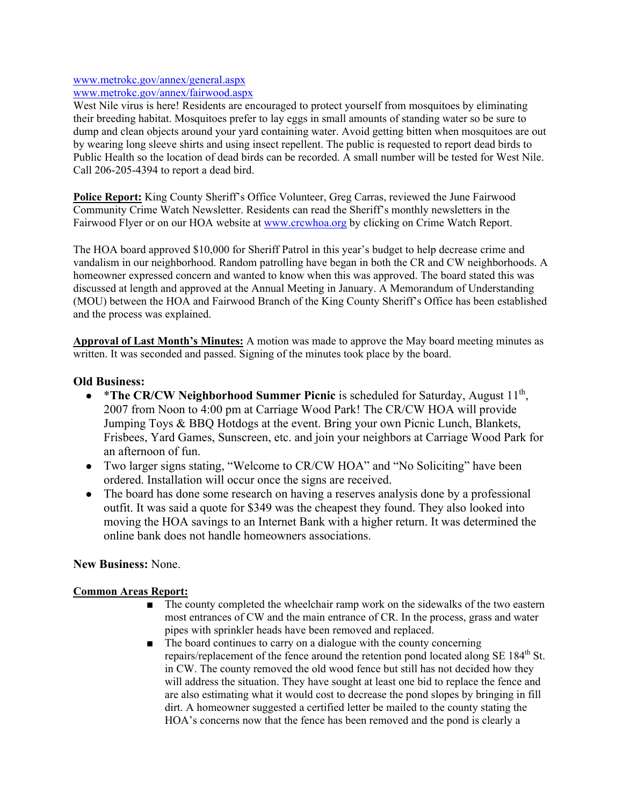#### www.metrokc.gov/annex/general.aspx www.metrokc.gov/annex/fairwood.aspx

West Nile virus is here! Residents are encouraged to protect yourself from mosquitoes by eliminating their breeding habitat. Mosquitoes prefer to lay eggs in small amounts of standing water so be sure to dump and clean objects around your yard containing water. Avoid getting bitten when mosquitoes are out by wearing long sleeve shirts and using insect repellent. The public is requested to report dead birds to Public Health so the location of dead birds can be recorded. A small number will be tested for West Nile. Call 206-205-4394 to report a dead bird.

**Police Report:** King County Sheriff's Office Volunteer, Greg Carras, reviewed the June Fairwood Community Crime Watch Newsletter. Residents can read the Sheriff's monthly newsletters in the Fairwood Flyer or on our HOA website at www.crcwhoa.org by clicking on Crime Watch Report.

The HOA board approved \$10,000 for Sheriff Patrol in this year's budget to help decrease crime and vandalism in our neighborhood. Random patrolling have began in both the CR and CW neighborhoods. A homeowner expressed concern and wanted to know when this was approved. The board stated this was discussed at length and approved at the Annual Meeting in January. A Memorandum of Understanding (MOU) between the HOA and Fairwood Branch of the King County Sheriff's Office has been established and the process was explained.

**Approval of Last Month's Minutes:** A motion was made to approve the May board meeting minutes as written. It was seconded and passed. Signing of the minutes took place by the board.

## **Old Business:**

- \*The CR/CW Neighborhood Summer Picnic is scheduled for Saturday, August 11<sup>th</sup>, 2007 from Noon to 4:00 pm at Carriage Wood Park! The CR/CW HOA will provide Jumping Toys & BBQ Hotdogs at the event. Bring your own Picnic Lunch, Blankets, Frisbees, Yard Games, Sunscreen, etc. and join your neighbors at Carriage Wood Park for an afternoon of fun.
- Two larger signs stating, "Welcome to CR/CW HOA" and "No Soliciting" have been ordered. Installation will occur once the signs are received.
- The board has done some research on having a reserves analysis done by a professional outfit. It was said a quote for \$349 was the cheapest they found. They also looked into moving the HOA savings to an Internet Bank with a higher return. It was determined the online bank does not handle homeowners associations.

### **New Business:** None.

### **Common Areas Report:**

- The county completed the wheelchair ramp work on the sidewalks of the two eastern most entrances of CW and the main entrance of CR. In the process, grass and water pipes with sprinkler heads have been removed and replaced.
- The board continues to carry on a dialogue with the county concerning repairs/replacement of the fence around the retention pond located along SE 184<sup>th</sup> St. in CW. The county removed the old wood fence but still has not decided how they will address the situation. They have sought at least one bid to replace the fence and are also estimating what it would cost to decrease the pond slopes by bringing in fill dirt. A homeowner suggested a certified letter be mailed to the county stating the HOA's concerns now that the fence has been removed and the pond is clearly a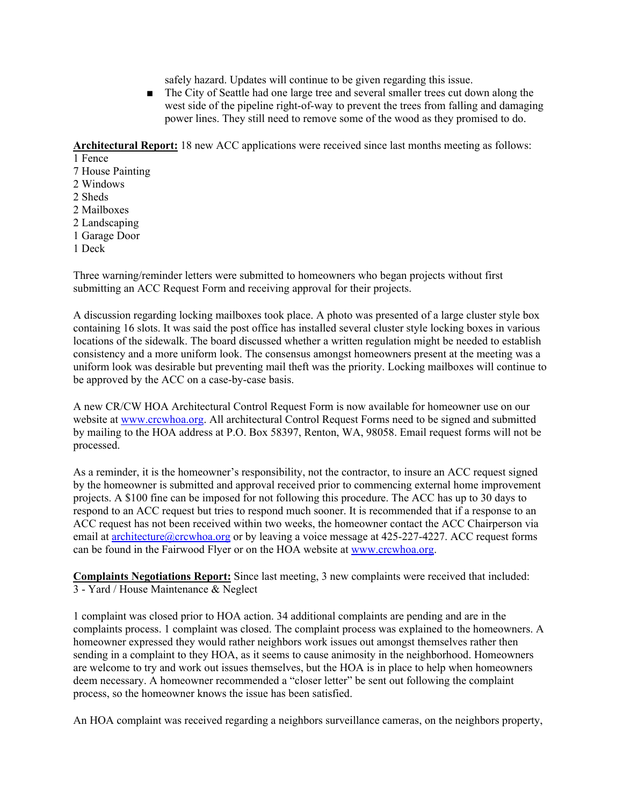safely hazard. Updates will continue to be given regarding this issue.

■ The City of Seattle had one large tree and several smaller trees cut down along the west side of the pipeline right-of-way to prevent the trees from falling and damaging power lines. They still need to remove some of the wood as they promised to do.

**Architectural Report:** 18 new ACC applications were received since last months meeting as follows:

1 Fence

7 House Painting

- 2 Windows
- 2 Sheds
- 2 Mailboxes
- 2 Landscaping
- 1 Garage Door
- 1 Deck

Three warning/reminder letters were submitted to homeowners who began projects without first submitting an ACC Request Form and receiving approval for their projects.

A discussion regarding locking mailboxes took place. A photo was presented of a large cluster style box containing 16 slots. It was said the post office has installed several cluster style locking boxes in various locations of the sidewalk. The board discussed whether a written regulation might be needed to establish consistency and a more uniform look. The consensus amongst homeowners present at the meeting was a uniform look was desirable but preventing mail theft was the priority. Locking mailboxes will continue to be approved by the ACC on a case-by-case basis.

A new CR/CW HOA Architectural Control Request Form is now available for homeowner use on our website at www.crcwhoa.org. All architectural Control Request Forms need to be signed and submitted by mailing to the HOA address at P.O. Box 58397, Renton, WA, 98058. Email request forms will not be processed.

As a reminder, it is the homeowner's responsibility, not the contractor, to insure an ACC request signed by the homeowner is submitted and approval received prior to commencing external home improvement projects. A \$100 fine can be imposed for not following this procedure. The ACC has up to 30 days to respond to an ACC request but tries to respond much sooner. It is recommended that if a response to an ACC request has not been received within two weeks, the homeowner contact the ACC Chairperson via email at architecture@crcwhoa.org or by leaving a voice message at 425-227-4227. ACC request forms can be found in the Fairwood Flyer or on the HOA website at www.crcwhoa.org.

**Complaints Negotiations Report:** Since last meeting, 3 new complaints were received that included: 3 - Yard / House Maintenance & Neglect

1 complaint was closed prior to HOA action. 34 additional complaints are pending and are in the complaints process. 1 complaint was closed. The complaint process was explained to the homeowners. A homeowner expressed they would rather neighbors work issues out amongst themselves rather then sending in a complaint to they HOA, as it seems to cause animosity in the neighborhood. Homeowners are welcome to try and work out issues themselves, but the HOA is in place to help when homeowners deem necessary. A homeowner recommended a "closer letter" be sent out following the complaint process, so the homeowner knows the issue has been satisfied.

An HOA complaint was received regarding a neighbors surveillance cameras, on the neighbors property,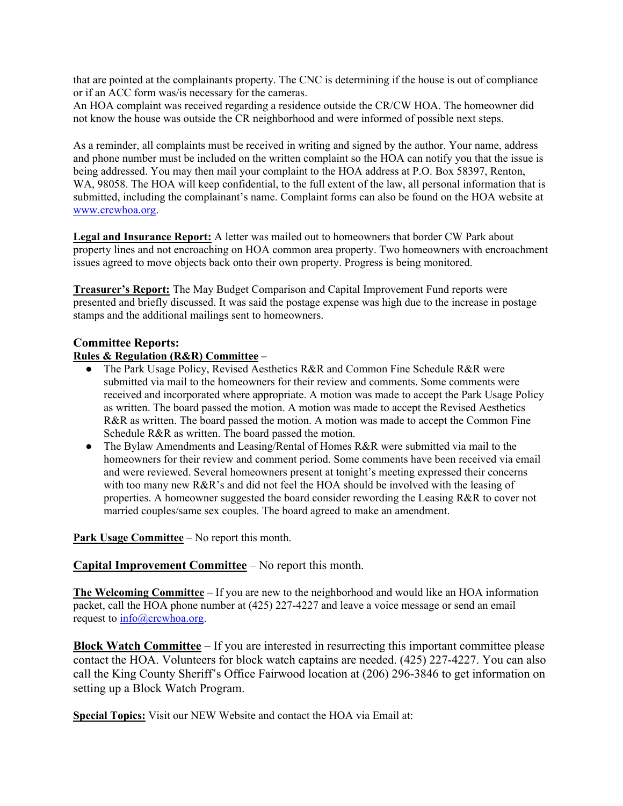that are pointed at the complainants property. The CNC is determining if the house is out of compliance or if an ACC form was/is necessary for the cameras.

An HOA complaint was received regarding a residence outside the CR/CW HOA. The homeowner did not know the house was outside the CR neighborhood and were informed of possible next steps.

As a reminder, all complaints must be received in writing and signed by the author. Your name, address and phone number must be included on the written complaint so the HOA can notify you that the issue is being addressed. You may then mail your complaint to the HOA address at P.O. Box 58397, Renton, WA, 98058. The HOA will keep confidential, to the full extent of the law, all personal information that is submitted, including the complainant's name. Complaint forms can also be found on the HOA website at www.crcwhoa.org.

**Legal and Insurance Report:** A letter was mailed out to homeowners that border CW Park about property lines and not encroaching on HOA common area property. Two homeowners with encroachment issues agreed to move objects back onto their own property. Progress is being monitored.

**Treasurer's Report:** The May Budget Comparison and Capital Improvement Fund reports were presented and briefly discussed. It was said the postage expense was high due to the increase in postage stamps and the additional mailings sent to homeowners.

#### **Committee Reports:**

#### **Rules & Regulation (R&R) Committee –**

- The Park Usage Policy, Revised Aesthetics R&R and Common Fine Schedule R&R were submitted via mail to the homeowners for their review and comments. Some comments were received and incorporated where appropriate. A motion was made to accept the Park Usage Policy as written. The board passed the motion. A motion was made to accept the Revised Aesthetics R&R as written. The board passed the motion. A motion was made to accept the Common Fine Schedule R&R as written. The board passed the motion.
- The Bylaw Amendments and Leasing/Rental of Homes R&R were submitted via mail to the homeowners for their review and comment period. Some comments have been received via email and were reviewed. Several homeowners present at tonight's meeting expressed their concerns with too many new R&R's and did not feel the HOA should be involved with the leasing of properties. A homeowner suggested the board consider rewording the Leasing R&R to cover not married couples/same sex couples. The board agreed to make an amendment.

**Park Usage Committee** – No report this month.

### **Capital Improvement Committee** – No report this month.

**The Welcoming Committee** – If you are new to the neighborhood and would like an HOA information packet, call the HOA phone number at (425) 227-4227 and leave a voice message or send an email request to info@crcwhoa.org.

**Block Watch Committee** – If you are interested in resurrecting this important committee please contact the HOA. Volunteers for block watch captains are needed. (425) 227-4227. You can also call the King County Sheriff's Office Fairwood location at (206) 296-3846 to get information on setting up a Block Watch Program.

**Special Topics:** Visit our NEW Website and contact the HOA via Email at: